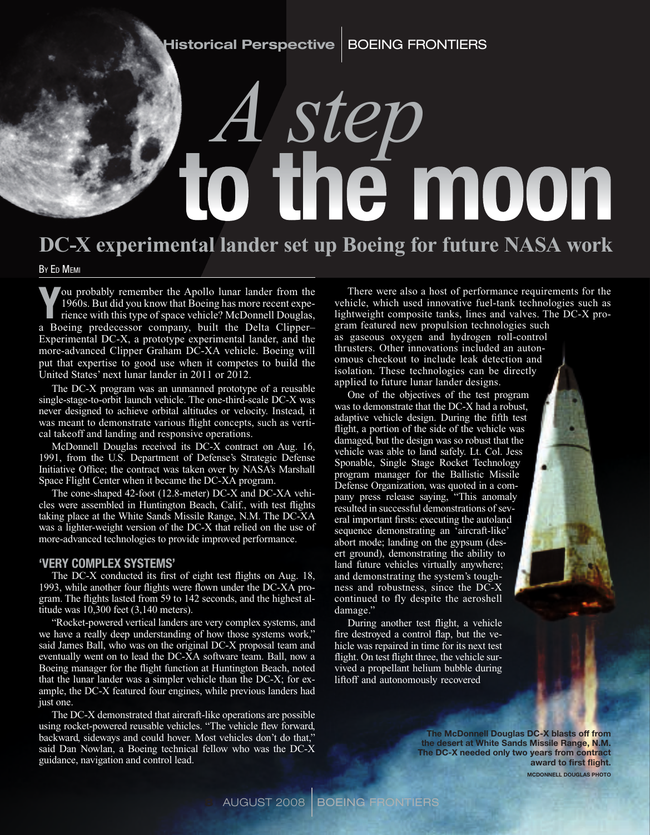# to the moon *A step*

### **DC-X experimental lander set up Boeing for future NASA work**

By Ed Memi

You probably remember the Apollo lunar lander from the 1960s. But did you know that Boeing has more recent experience with this type of space vehicle? McDonnell Douglas, 1960s. But did you know that Boeing has more recent experience with this type of space vehicle? McDonnell Douglas, a Boeing predecessor company, built the Delta Clipper– Experimental DC-X, a prototype experimental lander, and the more-advanced Clipper Graham DC-XA vehicle. Boeing will put that expertise to good use when it competes to build the United States' next lunar lander in 2011 or 2012.

The DC-X program was an unmanned prototype of a reusable single-stage-to-orbit launch vehicle. The one-third-scale DC-X was never designed to achieve orbital altitudes or velocity. Instead, it was meant to demonstrate various flight concepts, such as vertical takeoff and landing and responsive operations.

McDonnell Douglas received its DC-X contract on Aug. 16, 1991, from the U.S. Department of Defense's Strategic Defense Initiative Office; the contract was taken over by NASA's Marshall Space Flight Center when it became the DC-XA program.

The cone-shaped 42-foot (12.8-meter) DC-X and DC-XA vehicles were assembled in Huntington Beach, Calif., with test flights taking place at the White Sands Missile Range, N.M. The DC-XA was a lighter-weight version of the DC-X that relied on the use of more-advanced technologies to provide improved performance.

#### 'Very complex systems'

The DC-X conducted its first of eight test flights on Aug. 18, 1993, while another four flights were flown under the DC-XA program. The flights lasted from 59 to 142 seconds, and the highest altitude was 10,300 feet (3,140 meters).

"Rocket-powered vertical landers are very complex systems, and we have a really deep understanding of how those systems work," said James Ball, who was on the original DC-X proposal team and eventually went on to lead the DC-XA software team. Ball, now a Boeing manager for the flight function at Huntington Beach, noted that the lunar lander was a simpler vehicle than the DC-X; for example, the DC-X featured four engines, while previous landers had just one.

The DC-X demonstrated that aircraft-like operations are possible using rocket-powered reusable vehicles. "The vehicle flew forward, backward, sideways and could hover. Most vehicles don't do that," said Dan Nowlan, a Boeing technical fellow who was the DC-X guidance, navigation and control lead.

There were also a host of performance requirements for the vehicle, which used innovative fuel-tank technologies such as lightweight composite tanks, lines and valves. The DC-X program featured new propulsion technologies such as gaseous oxygen and hydrogen roll-control thrusters. Other innovations included an autonomous checkout to include leak detection and isolation. These technologies can be directly applied to future lunar lander designs.

One of the objectives of the test program was to demonstrate that the DC-X had a robust, adaptive vehicle design. During the fifth test flight, a portion of the side of the vehicle was damaged, but the design was so robust that the vehicle was able to land safely. Lt. Col. Jess Sponable, Single Stage Rocket Technology program manager for the Ballistic Missile Defense Organization, was quoted in a company press release saying, "This anomaly resulted in successful demonstrations of several important firsts: executing the autoland sequence demonstrating an 'aircraft-like' abort mode; landing on the gypsum (desert ground), demonstrating the ability to land future vehicles virtually anywhere; and demonstrating the system's toughness and robustness, since the DC-X continued to fly despite the aeroshell damage."

During another test flight, a vehicle fire destroyed a control flap, but the vehicle was repaired in time for its next test flight. On test flight three, the vehicle survived a propellant helium bubble during liftoff and autonomously recovered

> The McDonnell Douglas DC-X blasts off from the desert at White Sands Missile Range, N.M. The DC-X needed only two years from contract award to first flight. McDonnell Douglas photo